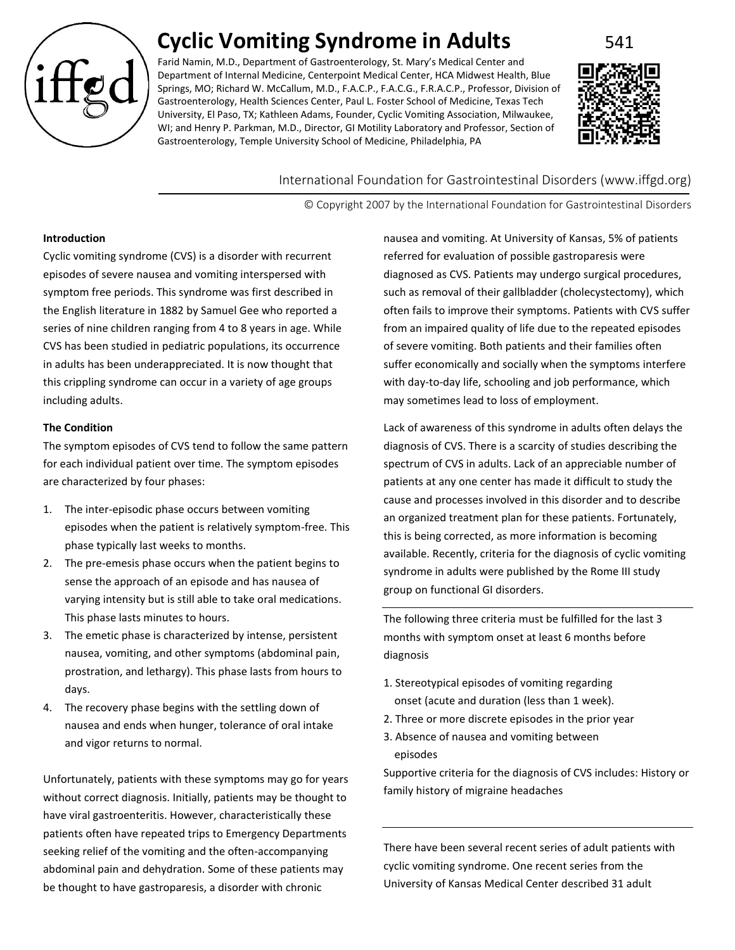

# **Cyclic Vomiting Syndrome in Adults** 541

Farid Namin, M.D., Department of Gastroenterology, St. Mary's Medical Center and Department of Internal Medicine, Centerpoint Medical Center, HCA Midwest Health, Blue Springs, MO; Richard W. McCallum, M.D., F.A.C.P., F.A.C.G., F.R.A.C.P., Professor, Division of Gastroenterology, Health Sciences Center, Paul L. Foster School of Medicine, Texas Tech University, El Paso, TX; Kathleen Adams, Founder, Cyclic Vomiting Association, Milwaukee, WI; and Henry P. Parkman, M.D., Director, GI Motility Laboratory and Professor, Section of Gastroenterology, Temple University School of Medicine, Philadelphia, PA



International Foundation for Gastrointestinal Disorders (www.iffgd.org)

© Copyright 2007 by the International Foundation for Gastrointestinal Disorders

### **Introduction**

Cyclic vomiting syndrome (CVS) is a disorder with recurrent episodes of severe nausea and vomiting interspersed with symptom free periods. This syndrome was first described in the English literature in 1882 by Samuel Gee who reported a series of nine children ranging from 4 to 8 years in age. While CVS has been studied in pediatric populations, its occurrence in adults has been underappreciated. It is now thought that this crippling syndrome can occur in a variety of age groups including adults.

## **The Condition**

The symptom episodes of CVS tend to follow the same pattern for each individual patient over time. The symptom episodes are characterized by four phases:

- 1. The inter-episodic phase occurs between vomiting episodes when the patient is relatively symptom-free. This phase typically last weeks to months.
- 2. The pre-emesis phase occurs when the patient begins to sense the approach of an episode and has nausea of varying intensity but is still able to take oral medications. This phase lasts minutes to hours.
- 3. The emetic phase is characterized by intense, persistent nausea, vomiting, and other symptoms (abdominal pain, prostration, and lethargy). This phase lasts from hours to days.
- 4. The recovery phase begins with the settling down of nausea and ends when hunger, tolerance of oral intake and vigor returns to normal.

Unfortunately, patients with these symptoms may go for years without correct diagnosis. Initially, patients may be thought to have viral gastroenteritis. However, characteristically these patients often have repeated trips to Emergency Departments seeking relief of the vomiting and the often-accompanying abdominal pain and dehydration. Some of these patients may be thought to have gastroparesis, a disorder with chronic

nausea and vomiting. At University of Kansas, 5% of patients referred for evaluation of possible gastroparesis were diagnosed as CVS. Patients may undergo surgical procedures, such as removal of their gallbladder (cholecystectomy), which often fails to improve their symptoms. Patients with CVS suffer from an impaired quality of life due to the repeated episodes of severe vomiting. Both patients and their families often suffer economically and socially when the symptoms interfere with day-to-day life, schooling and job performance, which may sometimes lead to loss of employment.

Lack of awareness of this syndrome in adults often delays the diagnosis of CVS. There is a scarcity of studies describing the spectrum of CVS in adults. Lack of an appreciable number of patients at any one center has made it difficult to study the cause and processes involved in this disorder and to describe an organized treatment plan for these patients. Fortunately, this is being corrected, as more information is becoming available. Recently, criteria for the diagnosis of cyclic vomiting syndrome in adults were published by the Rome III study group on functional GI disorders.

The following three criteria must be fulfilled for the last 3 months with symptom onset at least 6 months before diagnosis

- 1. Stereotypical episodes of vomiting regarding onset (acute and duration (less than 1 week).
- 2. Three or more discrete episodes in the prior year
- 3. Absence of nausea and vomiting between episodes

Supportive criteria for the diagnosis of CVS includes: History or family history of migraine headaches

There have been several recent series of adult patients with cyclic vomiting syndrome. One recent series from the University of Kansas Medical Center described 31 adult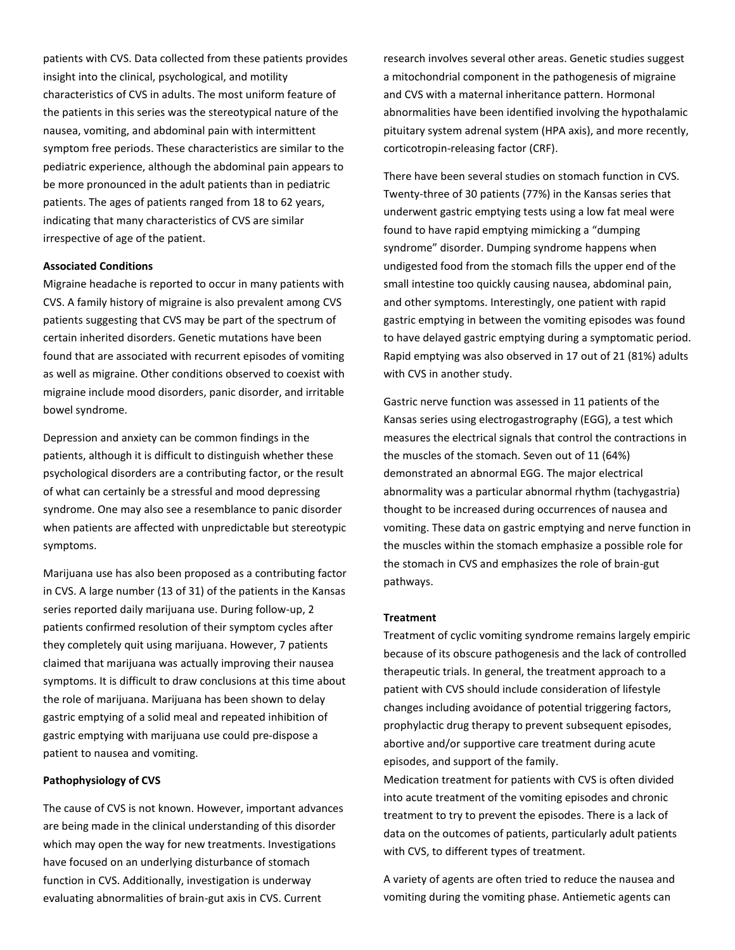patients with CVS. Data collected from these patients provides insight into the clinical, psychological, and motility characteristics of CVS in adults. The most uniform feature of the patients in this series was the stereotypical nature of the nausea, vomiting, and abdominal pain with intermittent symptom free periods. These characteristics are similar to the pediatric experience, although the abdominal pain appears to be more pronounced in the adult patients than in pediatric patients. The ages of patients ranged from 18 to 62 years, indicating that many characteristics of CVS are similar irrespective of age of the patient.

## **Associated Conditions**

Migraine headache is reported to occur in many patients with CVS. A family history of migraine is also prevalent among CVS patients suggesting that CVS may be part of the spectrum of certain inherited disorders. Genetic mutations have been found that are associated with recurrent episodes of vomiting as well as migraine. Other conditions observed to coexist with migraine include mood disorders, panic disorder, and irritable bowel syndrome.

Depression and anxiety can be common findings in the patients, although it is difficult to distinguish whether these psychological disorders are a contributing factor, or the result of what can certainly be a stressful and mood depressing syndrome. One may also see a resemblance to panic disorder when patients are affected with unpredictable but stereotypic symptoms.

Marijuana use has also been proposed as a contributing factor in CVS. A large number (13 of 31) of the patients in the Kansas series reported daily marijuana use. During follow-up, 2 patients confirmed resolution of their symptom cycles after they completely quit using marijuana. However, 7 patients claimed that marijuana was actually improving their nausea symptoms. It is difficult to draw conclusions at this time about the role of marijuana. Marijuana has been shown to delay gastric emptying of a solid meal and repeated inhibition of gastric emptying with marijuana use could pre-dispose a patient to nausea and vomiting.

#### **Pathophysiology of CVS**

The cause of CVS is not known. However, important advances are being made in the clinical understanding of this disorder which may open the way for new treatments. Investigations have focused on an underlying disturbance of stomach function in CVS. Additionally, investigation is underway evaluating abnormalities of brain-gut axis in CVS. Current

research involves several other areas. Genetic studies suggest a mitochondrial component in the pathogenesis of migraine and CVS with a maternal inheritance pattern. Hormonal abnormalities have been identified involving the hypothalamic pituitary system adrenal system (HPA axis), and more recently, corticotropin-releasing factor (CRF).

There have been several studies on stomach function in CVS. Twenty-three of 30 patients (77%) in the Kansas series that underwent gastric emptying tests using a low fat meal were found to have rapid emptying mimicking a "dumping syndrome" disorder. Dumping syndrome happens when undigested food from the stomach fills the upper end of the small intestine too quickly causing nausea, abdominal pain, and other symptoms. Interestingly, one patient with rapid gastric emptying in between the vomiting episodes was found to have delayed gastric emptying during a symptomatic period. Rapid emptying was also observed in 17 out of 21 (81%) adults with CVS in another study.

Gastric nerve function was assessed in 11 patients of the Kansas series using electrogastrography (EGG), a test which measures the electrical signals that control the contractions in the muscles of the stomach. Seven out of 11 (64%) demonstrated an abnormal EGG. The major electrical abnormality was a particular abnormal rhythm (tachygastria) thought to be increased during occurrences of nausea and vomiting. These data on gastric emptying and nerve function in the muscles within the stomach emphasize a possible role for the stomach in CVS and emphasizes the role of brain-gut pathways.

#### **Treatment**

Treatment of cyclic vomiting syndrome remains largely empiric because of its obscure pathogenesis and the lack of controlled therapeutic trials. In general, the treatment approach to a patient with CVS should include consideration of lifestyle changes including avoidance of potential triggering factors, prophylactic drug therapy to prevent subsequent episodes, abortive and/or supportive care treatment during acute episodes, and support of the family.

Medication treatment for patients with CVS is often divided into acute treatment of the vomiting episodes and chronic treatment to try to prevent the episodes. There is a lack of data on the outcomes of patients, particularly adult patients with CVS, to different types of treatment.

A variety of agents are often tried to reduce the nausea and vomiting during the vomiting phase. Antiemetic agents can